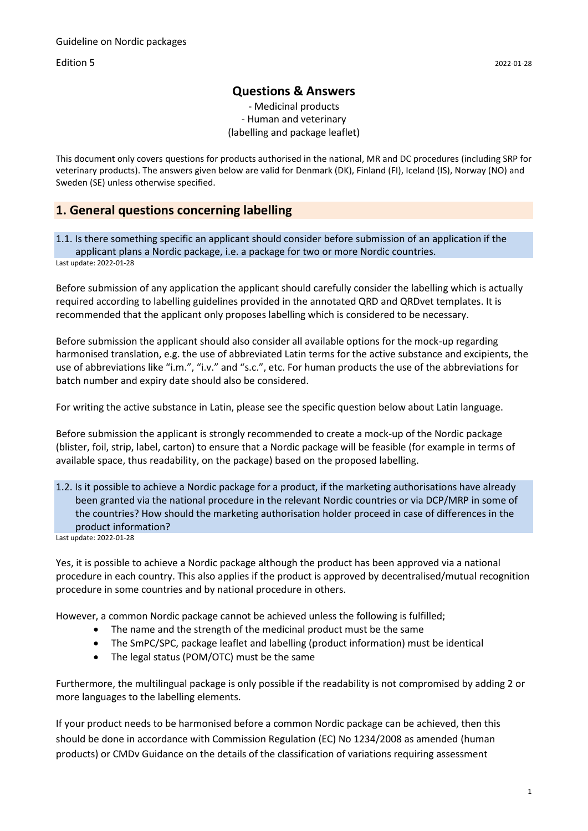Edition 5 2022-01-28

### **Questions & Answers**

- Medicinal products - Human and veterinary (labelling and package leaflet)

This document only covers questions for products authorised in the national, MR and DC procedures (including SRP for veterinary products). The answers given below are valid for Denmark (DK), Finland (FI), Iceland (IS), Norway (NO) and Sweden (SE) unless otherwise specified.

## **1. General questions concerning labelling**

1.1. Is there something specific an applicant should consider before submission of an application if the applicant plans a Nordic package, i.e. a package for two or more Nordic countries. Last update: 2022-01-28

Before submission of any application the applicant should carefully consider the labelling which is actually required according to labelling guidelines provided in the annotated QRD and QRDvet templates. It is recommended that the applicant only proposes labelling which is considered to be necessary.

Before submission the applicant should also consider all available options for the mock-up regarding harmonised translation, e.g. the use of abbreviated Latin terms for the active substance and excipients, the use of abbreviations like "i.m.", "i.v." and "s.c.", etc. For human products the use of the abbreviations for batch number and expiry date should also be considered.

For writing the active substance in Latin, please see the specific question below about Latin language.

Before submission the applicant is strongly recommended to create a mock-up of the Nordic package (blister, foil, strip, label, carton) to ensure that a Nordic package will be feasible (for example in terms of available space, thus readability, on the package) based on the proposed labelling.

1.2. Is it possible to achieve a Nordic package for a product, if the marketing authorisations have already been granted via the national procedure in the relevant Nordic countries or via DCP/MRP in some of the countries? How should the marketing authorisation holder proceed in case of differences in the product information?

Last update: 2022-01-28

Yes, it is possible to achieve a Nordic package although the product has been approved via a national procedure in each country. This also applies if the product is approved by decentralised/mutual recognition procedure in some countries and by national procedure in others.

However, a common Nordic package cannot be achieved unless the following is fulfilled;

- The name and the strength of the medicinal product must be the same
- The SmPC/SPC, package leaflet and labelling (product information) must be identical
- The legal status (POM/OTC) must be the same

Furthermore, the multilingual package is only possible if the readability is not compromised by adding 2 or more languages to the labelling elements.

If your product needs to be harmonised before a common Nordic package can be achieved, then this should be done in accordance with Commission Regulation (EC) No 1234/2008 as amended (human products) or CMDv Guidance on the details of the classification of variations requiring assessment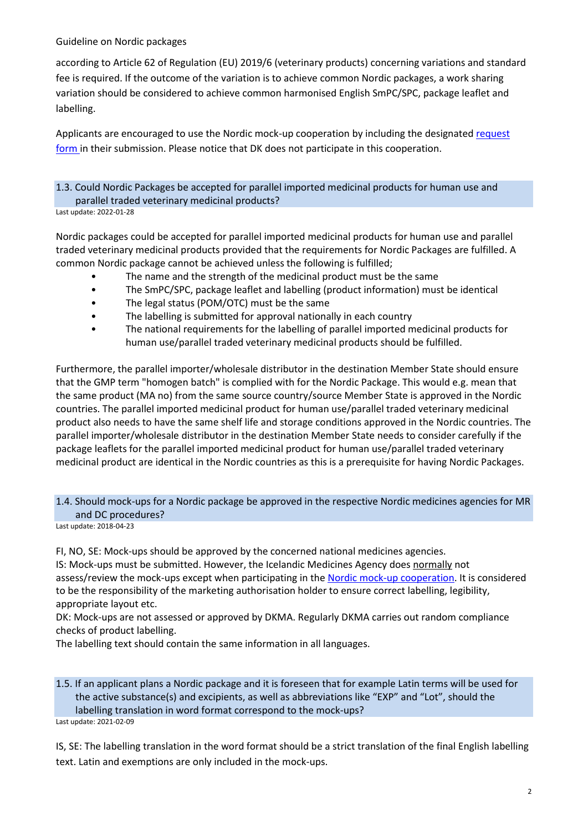according to Article 62 of Regulation (EU) 2019/6 (veterinary products) concerning variations and standard fee is required. If the outcome of the variation is to achieve common Nordic packages, a work sharing variation should be considered to achieve common harmonised English SmPC/SPC, package leaflet and labelling.

Applicants are encouraged to use the Nordic mock-up cooperation by including the designated [request](https://www.lakemedelsverket.se/sv/blanketter/begaran-om-nordiskt-mock-up-samarbete)  [form i](https://www.lakemedelsverket.se/sv/blanketter/begaran-om-nordiskt-mock-up-samarbete)n their submission. Please notice that DK does not participate in this cooperation.

# 1.3. Could Nordic Packages be accepted for parallel imported medicinal products for human use and parallel traded veterinary medicinal products?

Last update: 2022-01-28

Nordic packages could be accepted for parallel imported medicinal products for human use and parallel traded veterinary medicinal products provided that the requirements for Nordic Packages are fulfilled. A common Nordic package cannot be achieved unless the following is fulfilled;

- The name and the strength of the medicinal product must be the same
- The SmPC/SPC, package leaflet and labelling (product information) must be identical
- The legal status (POM/OTC) must be the same
- The labelling is submitted for approval nationally in each country
- The national requirements for the labelling of parallel imported medicinal products for human use/parallel traded veterinary medicinal products should be fulfilled.

Furthermore, the parallel importer/wholesale distributor in the destination Member State should ensure that the GMP term "homogen batch" is complied with for the Nordic Package. This would e.g. mean that the same product (MA no) from the same source country/source Member State is approved in the Nordic countries. The parallel imported medicinal product for human use/parallel traded veterinary medicinal product also needs to have the same shelf life and storage conditions approved in the Nordic countries. The parallel importer/wholesale distributor in the destination Member State needs to consider carefully if the package leaflets for the parallel imported medicinal product for human use/parallel traded veterinary medicinal product are identical in the Nordic countries as this is a prerequisite for having Nordic Packages.

## 1.4. Should mock-ups for a Nordic package be approved in the respective Nordic medicines agencies for MR and DC procedures?

Last update: 2018-04-23

FI, NO, SE: Mock-ups should be approved by the concerned national medicines agencies.

IS: Mock-ups must be submitted. However, the Icelandic Medicines Agency does normally not assess/review the mock-ups except when participating in the [Nordic mock-up cooperation.](https://www.lakemedelsverket.se/en/permission-approval-and-control/marketing-authorisation/product-information/how-to-prepare-package-labelling#hmainbody4) It is considered to be the responsibility of the marketing authorisation holder to ensure correct labelling, legibility, appropriate layout etc.

DK: Mock-ups are not assessed or approved by DKMA. Regularly DKMA carries out random compliance checks of product labelling.

The labelling text should contain the same information in all languages.

1.5. If an applicant plans a Nordic package and it is foreseen that for example Latin terms will be used for the active substance(s) and excipients, as well as abbreviations like "EXP" and "Lot", should the labelling translation in word format correspond to the mock-ups?

Last update: 2021-02-09

IS, SE: The labelling translation in the word format should be a strict translation of the final English labelling text. Latin and exemptions are only included in the mock-ups.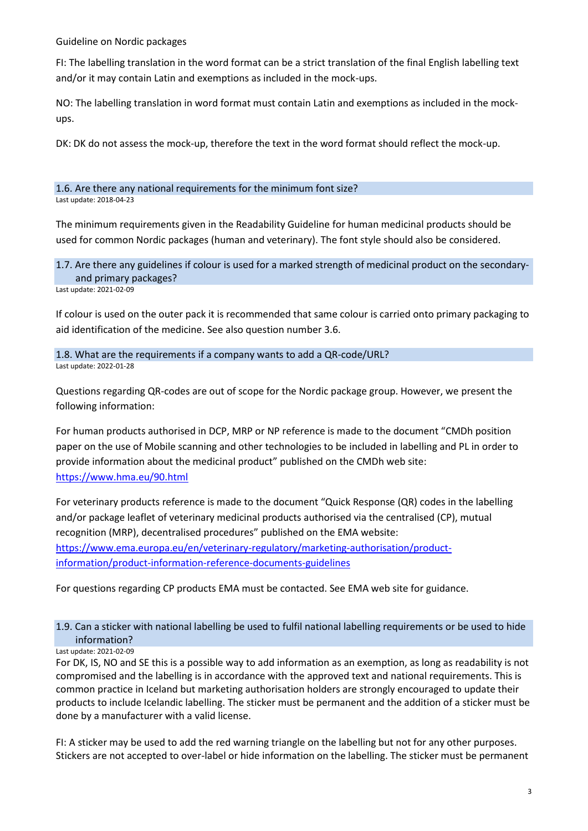FI: The labelling translation in the word format can be a strict translation of the final English labelling text and/or it may contain Latin and exemptions as included in the mock-ups.

NO: The labelling translation in word format must contain Latin and exemptions as included in the mockups.

DK: DK do not assess the mock-up, therefore the text in the word format should reflect the mock-up.

1.6. Are there any national requirements for the minimum font size? Last update: 2018-04-23

The minimum requirements given in the Readability Guideline for human medicinal products should be used for common Nordic packages (human and veterinary). The font style should also be considered.

1.7. Are there any guidelines if colour is used for a marked strength of medicinal product on the secondaryand primary packages?

Last update: 2021-02-09

If colour is used on the outer pack it is recommended that same colour is carried onto primary packaging to aid identification of the medicine. See also question number 3.6.

1.8. What are the requirements if a company wants to add a QR-code/URL? Last update: 2022-01-28

Questions regarding QR-codes are out of scope for the Nordic package group. However, we present the following information:

For human products authorised in DCP, MRP or NP reference is made to the document "CMDh position paper on the use of Mobile scanning and other technologies to be included in labelling and PL in order to provide information about the medicinal product" published on the CMDh web site: <https://www.hma.eu/90.html>

For veterinary products reference is made to the document "Quick Response (QR) codes in the labelling and/or package leaflet of veterinary medicinal products authorised via the centralised (CP), mutual recognition (MRP), decentralised procedures" published on the EMA website: [https://www.ema.europa.eu/en/veterinary-regulatory/marketing-authorisation/product](https://www.ema.europa.eu/en/veterinary-regulatory/marketing-authorisation/product-information/product-information-reference-documents-guidelines)[information/product-information-reference-documents-guidelines](https://www.ema.europa.eu/en/veterinary-regulatory/marketing-authorisation/product-information/product-information-reference-documents-guidelines)

For questions regarding CP products EMA must be contacted. See EMA web site for guidance.

# 1.9. Can a sticker with national labelling be used to fulfil national labelling requirements or be used to hide information?

Last update: 2021-02-09

For DK, IS, NO and SE this is a possible way to add information as an exemption, as long as readability is not compromised and the labelling is in accordance with the approved text and national requirements. This is common practice in Iceland but marketing authorisation holders are strongly encouraged to update their products to include Icelandic labelling. The sticker must be permanent and the addition of a sticker must be done by a manufacturer with a valid license.

FI: A sticker may be used to add the red warning triangle on the labelling but not for any other purposes. Stickers are not accepted to over-label or hide information on the labelling. The sticker must be permanent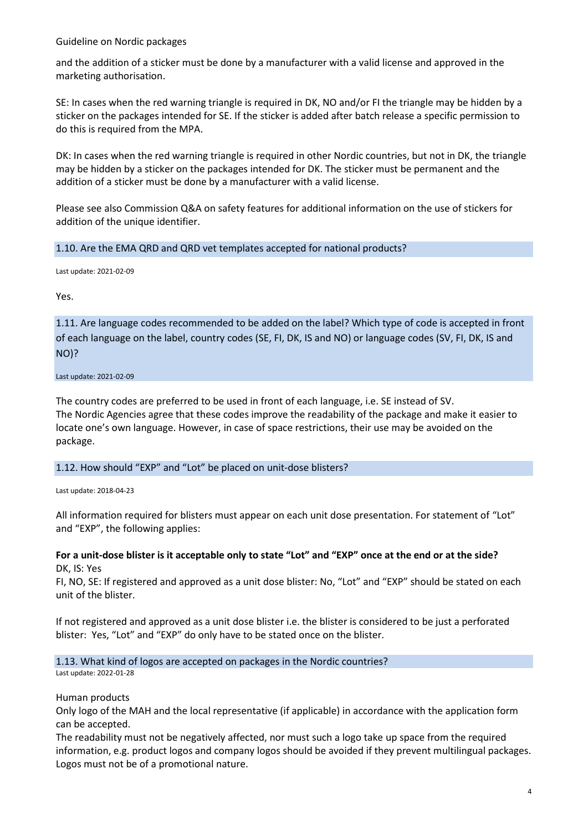and the addition of a sticker must be done by a manufacturer with a valid license and approved in the marketing authorisation.

SE: In cases when the red warning triangle is required in DK, NO and/or FI the triangle may be hidden by a sticker on the packages intended for SE. If the sticker is added after batch release a specific permission to do this is required from the MPA.

DK: In cases when the red warning triangle is required in other Nordic countries, but not in DK, the triangle may be hidden by a sticker on the packages intended for DK. The sticker must be permanent and the addition of a sticker must be done by a manufacturer with a valid license.

Please see also Commission Q&A on safety features for additional information on the use of stickers for addition of the unique identifier.

#### 1.10. Are the EMA QRD and QRD vet templates accepted for national products?

Last update: 2021-02-09

Yes.

1.11. Are language codes recommended to be added on the label? Which type of code is accepted in front of each language on the label, country codes (SE, FI, DK, IS and NO) or language codes (SV, FI, DK, IS and NO)?

Last update: 2021-02-09

The country codes are preferred to be used in front of each language, i.e. SE instead of SV. The Nordic Agencies agree that these codes improve the readability of the package and make it easier to locate one's own language. However, in case of space restrictions, their use may be avoided on the package.

#### 1.12. How should "EXP" and "Lot" be placed on unit-dose blisters?

Last update: 2018-04-23

All information required for blisters must appear on each unit dose presentation. For statement of "Lot" and "EXP", the following applies:

#### **For a unit-dose blister is it acceptable only to state "Lot" and "EXP" once at the end or at the side?** DK, IS: Yes

FI, NO, SE: If registered and approved as a unit dose blister: No, "Lot" and "EXP" should be stated on each unit of the blister.

If not registered and approved as a unit dose blister i.e. the blister is considered to be just a perforated blister: Yes, "Lot" and "EXP" do only have to be stated once on the blister.

1.13. What kind of logos are accepted on packages in the Nordic countries? Last update: 2022-01-28

Human products

Only logo of the MAH and the local representative (if applicable) in accordance with the application form can be accepted.

The readability must not be negatively affected, nor must such a logo take up space from the required information, e.g. product logos and company logos should be avoided if they prevent multilingual packages. Logos must not be of a promotional nature.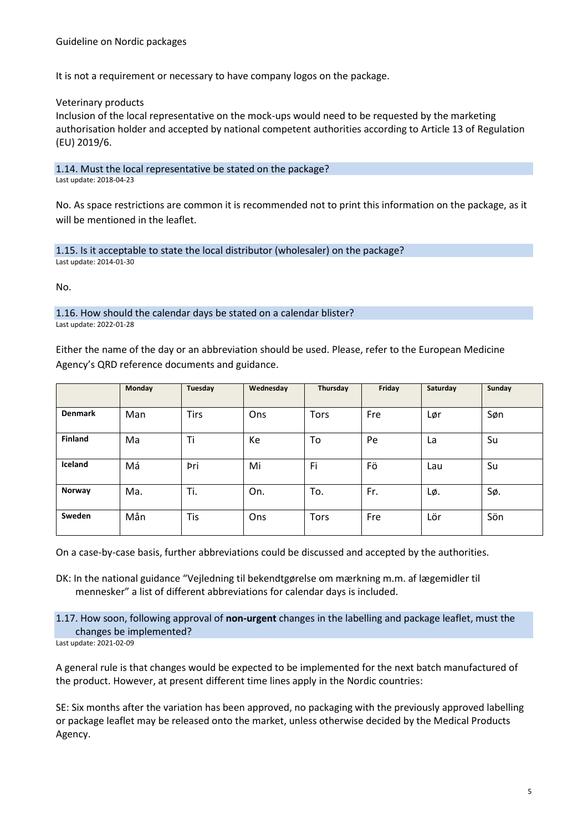It is not a requirement or necessary to have company logos on the package.

Veterinary products

Inclusion of the local representative on the mock-ups would need to be requested by the marketing authorisation holder and accepted by national competent authorities according to Article 13 of Regulation (EU) 2019/6.

1.14. Must the local representative be stated on the package? Last update: 2018-04-23

No. As space restrictions are common it is recommended not to print this information on the package, as it will be mentioned in the leaflet.

1.15. Is it acceptable to state the local distributor (wholesaler) on the package? Last update: 2014-01-30

No.

1.16. How should the calendar days be stated on a calendar blister? Last update: 2022-01-28

Either the name of the day or an abbreviation should be used. Please, refer to the European Medicine Agency's QRD reference documents and guidance.

|                | Monday | Tuesday     | Wednesday | Thursday    | Friday | Saturday | Sunday |
|----------------|--------|-------------|-----------|-------------|--------|----------|--------|
| <b>Denmark</b> | Man    | <b>Tirs</b> | Ons       | <b>Tors</b> | Fre    | Lør      | Søn    |
| <b>Finland</b> | Ma     | Ti          | Ke        | To          | Pe     | La       | Su     |
| Iceland        | Má     | Þri         | Mi        | Fi          | Fö     | Lau      | Su     |
| Norway         | Ma.    | Ti.         | On.       | To.         | Fr.    | Lø.      | Sø.    |
| Sweden         | Mån    | Tis         | Ons       | <b>Tors</b> | Fre    | Lör      | Sön    |

On a case-by-case basis, further abbreviations could be discussed and accepted by the authorities.

DK: In the national guidance "Vejledning til bekendtgørelse om mærkning m.m. af lægemidler til mennesker" a list of different abbreviations for calendar days is included.

1.17. How soon, following approval of **non-urgent** changes in the labelling and package leaflet, must the changes be implemented?

Last update: 2021-02-09

A general rule is that changes would be expected to be implemented for the next batch manufactured of the product. However, at present different time lines apply in the Nordic countries:

SE: Six months after the variation has been approved, no packaging with the previously approved labelling or package leaflet may be released onto the market, unless otherwise decided by the Medical Products Agency.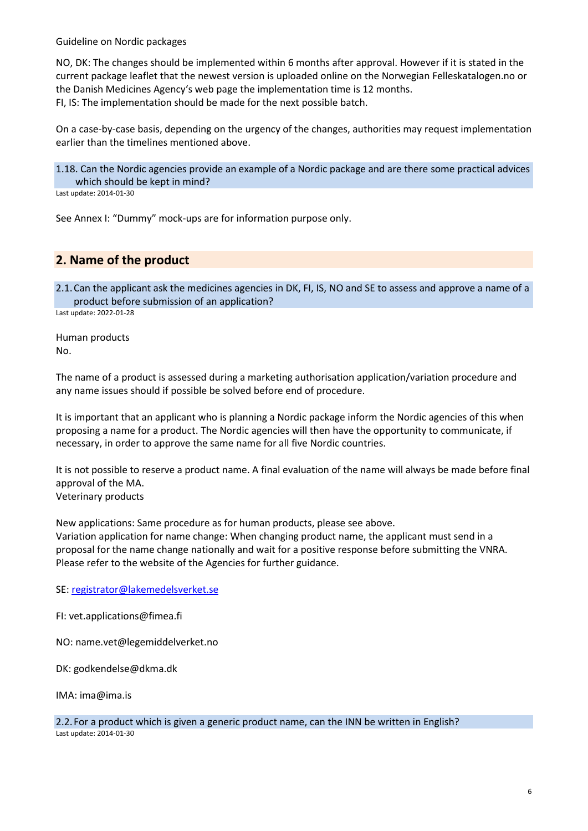NO, DK: The changes should be implemented within 6 months after approval. However if it is stated in the current package leaflet that the newest version is uploaded online on the Norwegian Felleskatalogen.no or the Danish Medicines Agency's web page the implementation time is 12 months. FI, IS: The implementation should be made for the next possible batch.

On a case-by-case basis, depending on the urgency of the changes, authorities may request implementation earlier than the timelines mentioned above.

1.18. Can the Nordic agencies provide an example of a Nordic package and are there some practical advices which should be kept in mind?

Last update: 2014-01-30

See Annex I: "Dummy" mock-ups are for information purpose only.

# **2. Name of the product**

2.1.Can the applicant ask the medicines agencies in DK, FI, IS, NO and SE to assess and approve a name of a product before submission of an application? Last update: 2022-01-28

Human products No.

The name of a product is assessed during a marketing authorisation application/variation procedure and any name issues should if possible be solved before end of procedure.

It is important that an applicant who is planning a Nordic package inform the Nordic agencies of this when proposing a name for a product. The Nordic agencies will then have the opportunity to communicate, if necessary, in order to approve the same name for all five Nordic countries.

It is not possible to reserve a product name. A final evaluation of the name will always be made before final approval of the MA. Veterinary products

New applications: Same procedure as for human products, please see above. Variation application for name change: When changing product name, the applicant must send in a proposal for the name change nationally and wait for a positive response before submitting the VNRA.

SE[: registrator@lakemedelsverket.se](mailto:registrator@lakemedelsverket.se)

Please refer to the website of the Agencies for further guidance.

FI: vet.applications@fimea.fi

NO: name.vet@legemiddelverket.no

DK: godkendelse@dkma.dk

IMA: ima@ima.is

2.2.For a product which is given a generic product name, can the INN be written in English? Last update: 2014-01-30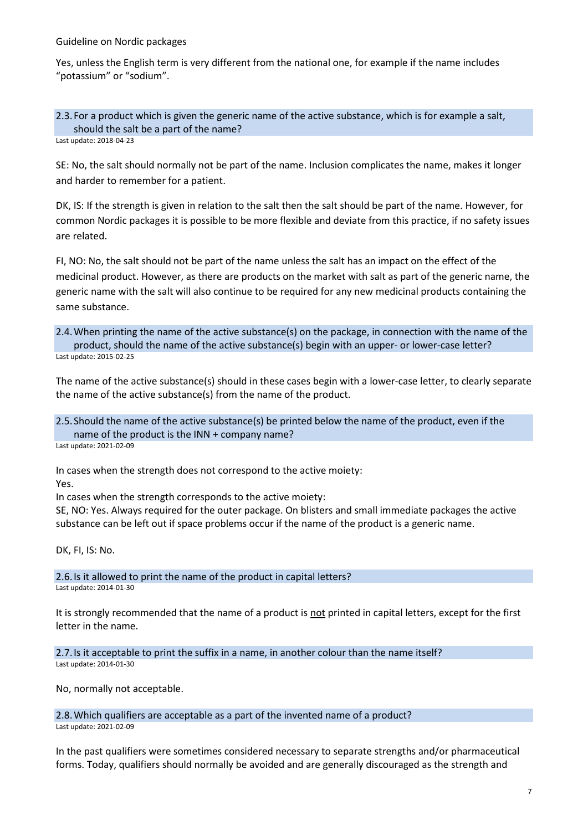Yes, unless the English term is very different from the national one, for example if the name includes "potassium" or "sodium".

2.3.For a product which is given the generic name of the active substance, which is for example a salt, should the salt be a part of the name? Last update: 2018-04-23

SE: No, the salt should normally not be part of the name. Inclusion complicates the name, makes it longer and harder to remember for a patient.

DK, IS: If the strength is given in relation to the salt then the salt should be part of the name. However, for common Nordic packages it is possible to be more flexible and deviate from this practice, if no safety issues are related.

FI, NO: No, the salt should not be part of the name unless the salt has an impact on the effect of the medicinal product. However, as there are products on the market with salt as part of the generic name, the generic name with the salt will also continue to be required for any new medicinal products containing the same substance.

2.4.When printing the name of the active substance(s) on the package, in connection with the name of the product, should the name of the active substance(s) begin with an upper- or lower-case letter? Last update: 2015-02-25

The name of the active substance(s) should in these cases begin with a lower-case letter, to clearly separate the name of the active substance(s) from the name of the product.

2.5.Should the name of the active substance(s) be printed below the name of the product, even if the name of the product is the INN + company name?

Last update: 2021-02-09

In cases when the strength does not correspond to the active moiety: Yes.

In cases when the strength corresponds to the active moiety:

SE, NO: Yes. Always required for the outer package. On blisters and small immediate packages the active substance can be left out if space problems occur if the name of the product is a generic name.

DK, FI, IS: No.

2.6.Is it allowed to print the name of the product in capital letters? Last update: 2014-01-30

It is strongly recommended that the name of a product is not printed in capital letters, except for the first letter in the name.

2.7.Is it acceptable to print the suffix in a name, in another colour than the name itself? Last update: 2014-01-30

No, normally not acceptable.

2.8.Which qualifiers are acceptable as a part of the invented name of a product?

Last update: 2021-02-09

In the past qualifiers were sometimes considered necessary to separate strengths and/or pharmaceutical forms. Today, qualifiers should normally be avoided and are generally discouraged as the strength and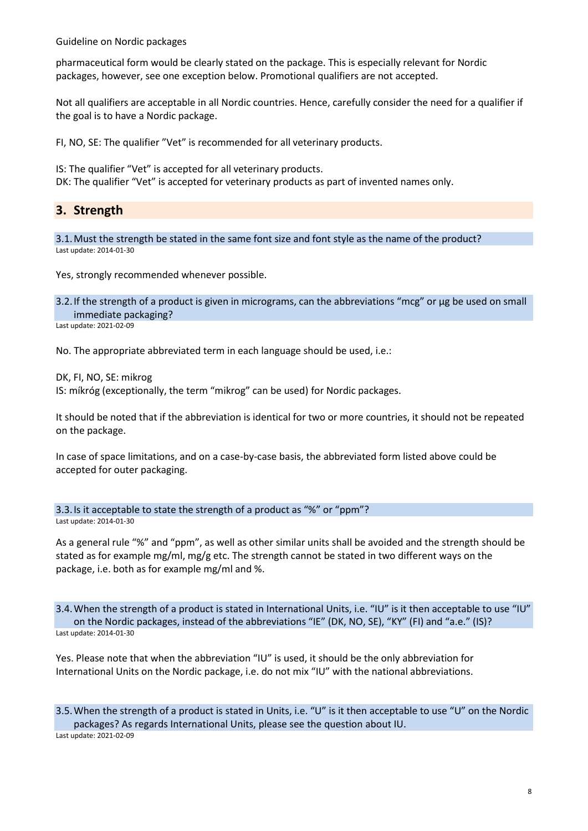pharmaceutical form would be clearly stated on the package. This is especially relevant for Nordic packages, however, see one exception below. Promotional qualifiers are not accepted.

Not all qualifiers are acceptable in all Nordic countries. Hence, carefully consider the need for a qualifier if the goal is to have a Nordic package.

FI, NO, SE: The qualifier "Vet" is recommended for all veterinary products.

IS: The qualifier "Vet" is accepted for all veterinary products.

DK: The qualifier "Vet" is accepted for veterinary products as part of invented names only.

## **3. Strength**

3.1.Must the strength be stated in the same font size and font style as the name of the product? Last update: 2014-01-30

Yes, strongly recommended whenever possible.

3.2.If the strength of a product is given in micrograms, can the abbreviations "mcg" or μg be used on small immediate packaging?

Last update: 2021-02-09

No. The appropriate abbreviated term in each language should be used, i.e.:

DK, FI, NO, SE: mikrog

IS: míkróg (exceptionally, the term "mikrog" can be used) for Nordic packages.

It should be noted that if the abbreviation is identical for two or more countries, it should not be repeated on the package.

In case of space limitations, and on a case-by-case basis, the abbreviated form listed above could be accepted for outer packaging.

3.3.Is it acceptable to state the strength of a product as "%" or "ppm"?

Last update: 2014-01-30

As a general rule "%" and "ppm", as well as other similar units shall be avoided and the strength should be stated as for example mg/ml, mg/g etc. The strength cannot be stated in two different ways on the package, i.e. both as for example mg/ml and %.

3.4.When the strength of a product is stated in International Units, i.e. "IU" is it then acceptable to use "IU" on the Nordic packages, instead of the abbreviations "IE" (DK, NO, SE), "KY" (FI) and "a.e." (IS)? Last update: 2014-01-30

Yes. Please note that when the abbreviation "IU" is used, it should be the only abbreviation for International Units on the Nordic package, i.e. do not mix "IU" with the national abbreviations.

3.5.When the strength of a product is stated in Units, i.e. "U" is it then acceptable to use "U" on the Nordic packages? As regards International Units, please see the question about IU. Last update: 2021-02-09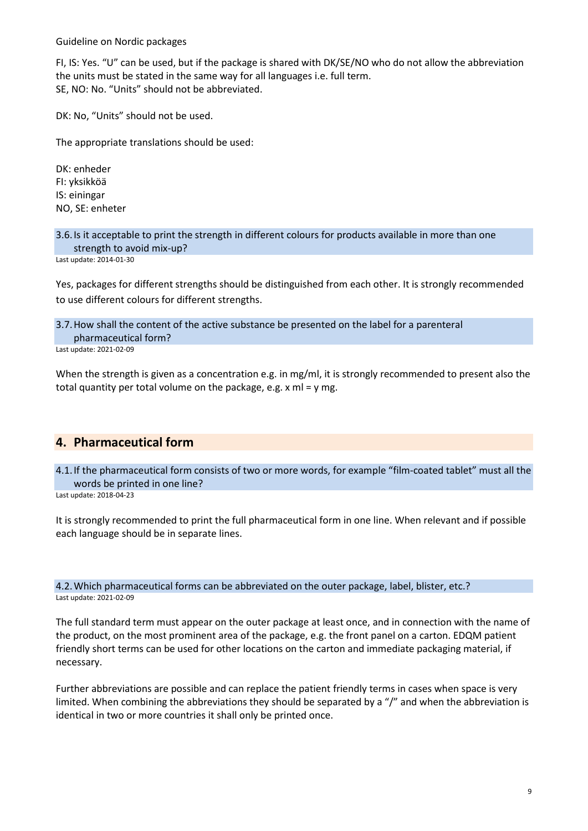FI, IS: Yes. "U" can be used, but if the package is shared with DK/SE/NO who do not allow the abbreviation the units must be stated in the same way for all languages i.e. full term. SE, NO: No. "Units" should not be abbreviated.

DK: No, "Units" should not be used.

The appropriate translations should be used:

DK: enheder FI: yksikköä IS: einingar NO, SE: enheter

3.6.Is it acceptable to print the strength in different colours for products available in more than one strength to avoid mix-up?

Last update: 2014-01-30

Yes, packages for different strengths should be distinguished from each other. It is strongly recommended to use different colours for different strengths.

3.7.How shall the content of the active substance be presented on the label for a parenteral pharmaceutical form?

Last update: 2021-02-09

When the strength is given as a concentration e.g. in mg/ml, it is strongly recommended to present also the total quantity per total volume on the package, e.g. x ml = y mg.

## **4. Pharmaceutical form**

4.1.If the pharmaceutical form consists of two or more words, for example "film-coated tablet" must all the words be printed in one line?

Last update: 2018-04-23

It is strongly recommended to print the full pharmaceutical form in one line. When relevant and if possible each language should be in separate lines.

4.2.Which pharmaceutical forms can be abbreviated on the outer package, label, blister, etc.? Last update: 2021-02-09

The full standard term must appear on the outer package at least once, and in connection with the name of the product, on the most prominent area of the package, e.g. the front panel on a carton. EDQM patient friendly short terms can be used for other locations on the carton and immediate packaging material, if necessary.

Further abbreviations are possible and can replace the patient friendly terms in cases when space is very limited. When combining the abbreviations they should be separated by a "/" and when the abbreviation is identical in two or more countries it shall only be printed once.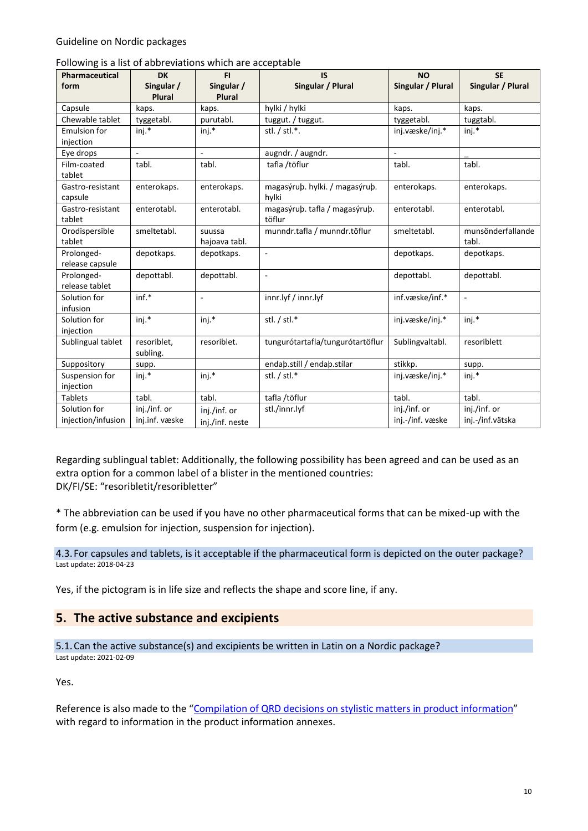| Pharmaceutical                     | <b>DK</b>                      | FI.                             | <b>IS</b>                               | <b>NO</b>                        | <b>SE</b>                        |
|------------------------------------|--------------------------------|---------------------------------|-----------------------------------------|----------------------------------|----------------------------------|
| form                               | Singular /<br><b>Plural</b>    | Singular /<br><b>Plural</b>     | Singular / Plural                       | Singular / Plural                | Singular / Plural                |
| Capsule                            | kaps.                          | kaps.                           | hylki / hylki                           | kaps.                            | kaps.                            |
| Chewable tablet                    | tyggetabl.                     | purutabl.                       | tuggut. / tuggut.                       | tyggetabl.                       | tuggtabl.                        |
| <b>Emulsion for</b><br>injection   | inj.*                          | inj.*                           | stl. / stl.*.                           | inj.væske/inj.*                  | inj.*                            |
| Eye drops                          | $\overline{a}$                 | ä,                              | augndr. / augndr.                       | ÷,                               |                                  |
| Film-coated<br>tablet              | tabl.                          | tabl.                           | tafla /töflur                           | tabl.                            | tabl.                            |
| Gastro-resistant<br>capsule        | enterokaps.                    | enterokaps.                     | magasýruþ. hylki. / magasýruþ.<br>hylki | enterokaps.                      | enterokaps.                      |
| Gastro-resistant<br>tablet         | enterotabl.                    | enterotabl.                     | magasýruþ. tafla / magasýruþ.<br>töflur | enterotabl.                      | enterotabl.                      |
| Orodispersible<br>tablet           | smeltetabl.                    | suussa<br>hajoava tabl.         | munndr.tafla / munndr.töflur            | smeltetabl.                      | munsönderfallande<br>tabl.       |
| Prolonged-<br>release capsule      | depotkaps.                     | depotkaps.                      | $\overline{\phantom{a}}$                | depotkaps.                       | depotkaps.                       |
| Prolonged-<br>release tablet       | depottabl.                     | depottabl.                      | ÷,                                      | depottabl.                       | depottabl.                       |
| Solution for<br>infusion           | $inf.*$                        | ä,                              | innr.lyf / innr.lyf                     | inf.væske/inf.*                  | $\sim$                           |
| Solution for<br>injection          | $ini.*$                        | $ini.*$                         | stl. / stl.*                            | inj.væske/inj.*                  | $ini.*$                          |
| Sublingual tablet                  | resoriblet.<br>subling.        | resoriblet.                     | tungurótartafla/tungurótartöflur        | Sublingvaltabl.                  | resoriblett                      |
| Suppository                        | supp.                          |                                 | endaþ.stíll / endaþ.stílar              | stikkp.                          | supp.                            |
| Suspension for<br>injection        | inj.*                          | inj.*                           | stl. / stl.*                            | inj.væske/inj.*                  | inj.*                            |
| <b>Tablets</b>                     | tabl.                          | tabl.                           | tafla /töflur                           | tabl.                            | tabl.                            |
| Solution for<br>injection/infusion | inj./inf. or<br>inj.inf. væske | inj./inf. or<br>inj./inf. neste | stl./innr.lyf                           | inj./inf. or<br>inj.-/inf. væske | inj./inf. or<br>inj.-/inf.vätska |

#### Following is a list of abbreviations which are acceptable

Regarding sublingual tablet: Additionally, the following possibility has been agreed and can be used as an extra option for a common label of a blister in the mentioned countries: DK/FI/SE: "resoribletit/resoribletter"

\* The abbreviation can be used if you have no other pharmaceutical forms that can be mixed-up with the form (e.g. emulsion for injection, suspension for injection).

4.3.For capsules and tablets, is it acceptable if the pharmaceutical form is depicted on the outer package? Last update: 2018-04-23

Yes, if the pictogram is in life size and reflects the shape and score line, if any.

### **5. The active substance and excipients**

5.1.Can the active substance(s) and excipients be written in Latin on a Nordic package? Last update: 2021-02-09

Yes.

Reference is also made to the "[Compilation of QRD decisions on stylistic matters in product information](https://www.ema.europa.eu/en/documents/regulatory-procedural-guideline/compilation-quality-review-documents-decisions-stylistic-matters-product-information_en.pdf)" with regard to information in the product information annexes.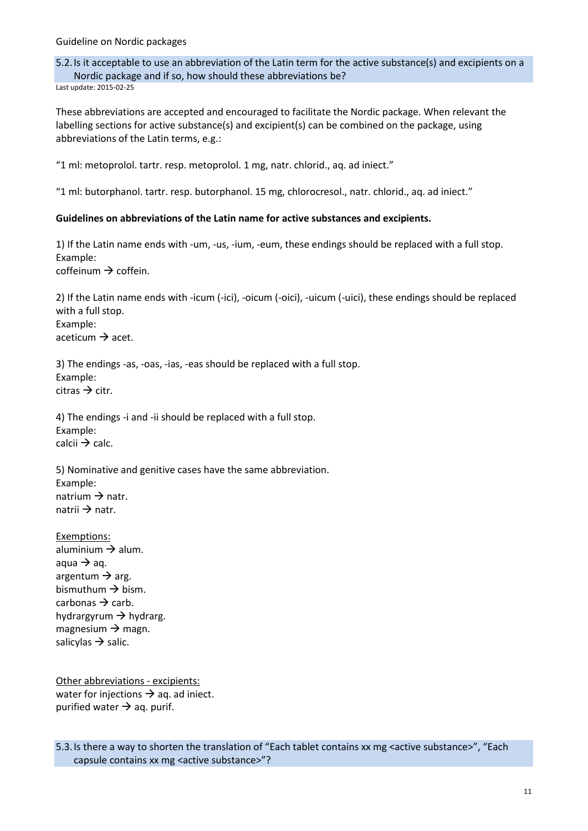5.2.Is it acceptable to use an abbreviation of the Latin term for the active substance(s) and excipients on a Nordic package and if so, how should these abbreviations be? Last update: 2015-02-25

These abbreviations are accepted and encouraged to facilitate the Nordic package. When relevant the labelling sections for active substance(s) and excipient(s) can be combined on the package, using abbreviations of the Latin terms, e.g.:

"1 ml: metoprolol. tartr. resp. metoprolol. 1 mg, natr. chlorid., aq. ad iniect."

"1 ml: butorphanol. tartr. resp. butorphanol. 15 mg, chlorocresol., natr. chlorid., aq. ad iniect."

#### **Guidelines on abbreviations of the Latin name for active substances and excipients.**

1) If the Latin name ends with -um, -us, -ium, -eum, these endings should be replaced with a full stop. Example: coffeinum  $\rightarrow$  coffein.

2) If the Latin name ends with -icum (-ici), -oicum (-oici), -uicum (-uici), these endings should be replaced with a full stop. Example: aceticum  $\rightarrow$  acet.

3) The endings -as, -oas, -ias, -eas should be replaced with a full stop. Example:  $c<sup>i</sup>tras  $\rightarrow$  citr.$ 

4) The endings -i and -ii should be replaced with a full stop. Example: calcii  $\rightarrow$  calc.

5) Nominative and genitive cases have the same abbreviation. Example: natrium  $\rightarrow$  natr. natrii  $\rightarrow$  natr.

Exemptions: aluminium  $\rightarrow$  alum. aqua  $\rightarrow$  aq. argentum  $\rightarrow$  arg. bismuthum  $\rightarrow$  bism. carbonas  $\rightarrow$  carb. hydrargyrum  $\rightarrow$  hydrarg. magnesium  $\rightarrow$  magn. salicylas  $\rightarrow$  salic.

Other abbreviations - excipients: water for injections  $\rightarrow$  aq. ad iniect. purified water  $\rightarrow$  aq. purif.

5.3.Is there a way to shorten the translation of "Each tablet contains xx mg <active substance>", "Each capsule contains xx mg <active substance>"?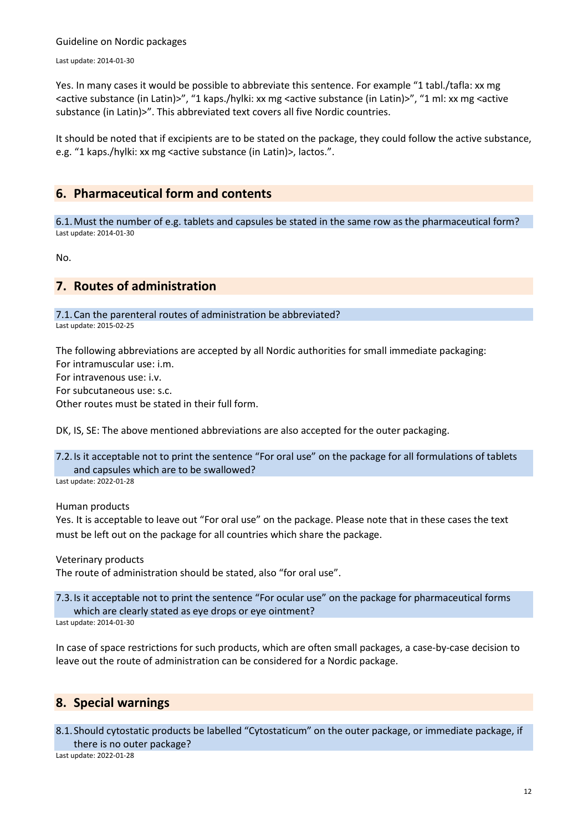Last update: 2014-01-30

Yes. In many cases it would be possible to abbreviate this sentence. For example "1 tabl./tafla: xx mg <active substance (in Latin)>", "1 kaps./hylki: xx mg <active substance (in Latin)>", "1 ml: xx mg <active substance (in Latin)>". This abbreviated text covers all five Nordic countries.

It should be noted that if excipients are to be stated on the package, they could follow the active substance, e.g. "1 kaps./hylki: xx mg <active substance (in Latin)>, lactos.".

### **6. Pharmaceutical form and contents**

6.1.Must the number of e.g. tablets and capsules be stated in the same row as the pharmaceutical form? Last update: 2014-01-30

No.

## **7. Routes of administration**

7.1.Can the parenteral routes of administration be abbreviated?

Last update: 2015-02-25

The following abbreviations are accepted by all Nordic authorities for small immediate packaging: For intramuscular use: i.m. For intravenous use: i.v. For subcutaneous use: s.c. Other routes must be stated in their full form.

DK, IS, SE: The above mentioned abbreviations are also accepted for the outer packaging.

7.2.Is it acceptable not to print the sentence "For oral use" on the package for all formulations of tablets and capsules which are to be swallowed? Last update: 2022-01-28

Human products

Yes. It is acceptable to leave out "For oral use" on the package. Please note that in these cases the text must be left out on the package for all countries which share the package.

Veterinary products

The route of administration should be stated, also "for oral use".

7.3.Is it acceptable not to print the sentence "For ocular use" on the package for pharmaceutical forms which are clearly stated as eye drops or eye ointment?

Last update: 2014-01-30

In case of space restrictions for such products, which are often small packages, a case-by-case decision to leave out the route of administration can be considered for a Nordic package.

## **8. Special warnings**

8.1.Should cytostatic products be labelled "Cytostaticum" on the outer package, or immediate package, if there is no outer package?

Last update: 2022-01-28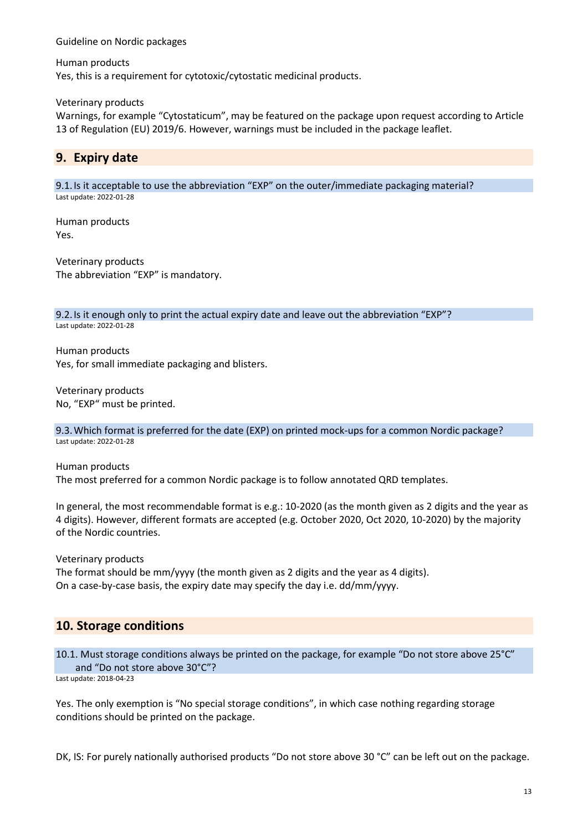Human products Yes, this is a requirement for cytotoxic/cytostatic medicinal products.

Veterinary products

Warnings, for example "Cytostaticum", may be featured on the package upon request according to Article 13 of Regulation (EU) 2019/6. However, warnings must be included in the package leaflet.

# **9. Expiry date**

9.1.Is it acceptable to use the abbreviation "EXP" on the outer/immediate packaging material? Last update: 2022-01-28

Human products Yes.

Veterinary products The abbreviation "EXP" is mandatory.

9.2. Is it enough only to print the actual expiry date and leave out the abbreviation "EXP"? Last update: 2022-01-28

Human products Yes, for small immediate packaging and blisters.

Veterinary products No, "EXP" must be printed.

9.3.Which format is preferred for the date (EXP) on printed mock-ups for a common Nordic package? Last update: 2022-01-28

Human products

The most preferred for a common Nordic package is to follow annotated QRD templates.

In general, the most recommendable format is e.g.: 10-2020 (as the month given as 2 digits and the year as 4 digits). However, different formats are accepted (e.g. October 2020, Oct 2020, 10-2020) by the majority of the Nordic countries.

Veterinary products

The format should be mm/yyyy (the month given as 2 digits and the year as 4 digits). On a case-by-case basis, the expiry date may specify the day i.e. dd/mm/yyyy.

# **10. Storage conditions**

10.1. Must storage conditions always be printed on the package, for example "Do not store above 25°C" and "Do not store above 30°C"?

Last update: 2018-04-23

Yes. The only exemption is "No special storage conditions", in which case nothing regarding storage conditions should be printed on the package.

DK, IS: For purely nationally authorised products "Do not store above 30 °C" can be left out on the package.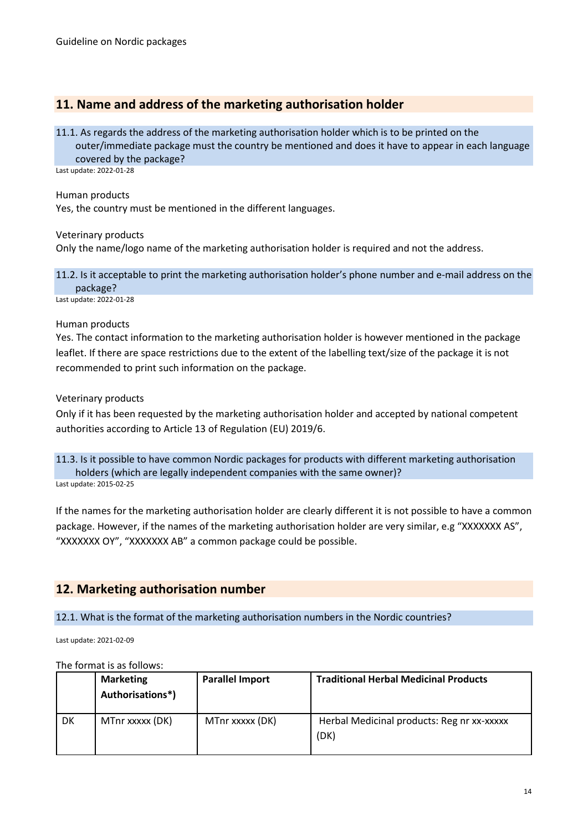# **11. Name and address of the marketing authorisation holder**

#### 11.1. As regards the address of the marketing authorisation holder which is to be printed on the

outer/immediate package must the country be mentioned and does it have to appear in each language covered by the package?

Last update: 2022-01-28

Human products

Yes, the country must be mentioned in the different languages.

Veterinary products

Only the name/logo name of the marketing authorisation holder is required and not the address.

11.2. Is it acceptable to print the marketing authorisation holder's phone number and e-mail address on the package? Last update: 2022-01-28

#### Human products

Yes. The contact information to the marketing authorisation holder is however mentioned in the package leaflet. If there are space restrictions due to the extent of the labelling text/size of the package it is not recommended to print such information on the package.

Veterinary products

Only if it has been requested by the marketing authorisation holder and accepted by national competent authorities according to Article 13 of Regulation (EU) 2019/6.

11.3. Is it possible to have common Nordic packages for products with different marketing authorisation holders (which are legally independent companies with the same owner)? Last update: 2015-02-25

If the names for the marketing authorisation holder are clearly different it is not possible to have a common package. However, if the names of the marketing authorisation holder are very similar, e.g "XXXXXXX AS", "XXXXXXX OY", "XXXXXXX AB" a common package could be possible.

# **12. Marketing authorisation number**

12.1. What is the format of the marketing authorisation numbers in the Nordic countries?

Last update: 2021-02-09

The format is as follows:

|    | <b>Marketing</b><br>Authorisations*) | <b>Parallel Import</b> | <b>Traditional Herbal Medicinal Products</b>       |
|----|--------------------------------------|------------------------|----------------------------------------------------|
| DK | MTnr xxxxx (DK)                      | MTnr xxxxx (DK)        | Herbal Medicinal products: Reg nr xx-xxxxx<br>(DK) |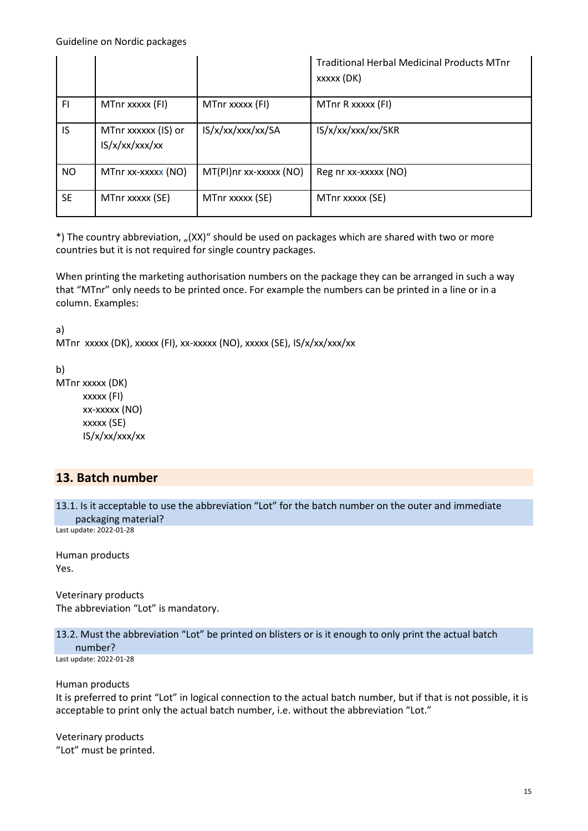|           |                                      |                        | <b>Traditional Herbal Medicinal Products MTnr</b><br>xxxxx (DK) |
|-----------|--------------------------------------|------------------------|-----------------------------------------------------------------|
| F1        | MTnr xxxxx (FI)                      | MTnr xxxxx (FI)        | MTnr R xxxxx (FI)                                               |
| IS        | MTnr xxxxxx (IS) or<br>IS/x/xx/xx/xx | IS/x/xx/xxx/xx/SA      | IS/x/xx/xxx/xx/SKR                                              |
| <b>NO</b> | MTnr xx-xxxxx (NO)                   | MT(PI)nr xx-xxxxx (NO) | Reg nr xx-xxxxx (NO)                                            |
| <b>SE</b> | MTnr xxxxx (SE)                      | MTnr xxxxx (SE)        | MTnr xxxxx (SE)                                                 |

\*) The country abbreviation, "(XX)" should be used on packages which are shared with two or more countries but it is not required for single country packages.

When printing the marketing authorisation numbers on the package they can be arranged in such a way that "MTnr" only needs to be printed once. For example the numbers can be printed in a line or in a column. Examples:

a)

MTnr xxxxx (DK), xxxxx (FI), xx-xxxxx (NO), xxxxx (SE), IS/x/xx/xxx/xx

b)

MTnr xxxxx (DK) xxxxx (FI) xx-xxxxx (NO) xxxxx (SE) IS/x/xx/xxx/xx

# **13. Batch number**

```
13.1. Is it acceptable to use the abbreviation "Lot" for the batch number on the outer and immediate 
packaging material?
```
Last update: 2022-01-28

Human products Yes.

Veterinary products The abbreviation "Lot" is mandatory.

13.2. Must the abbreviation "Lot" be printed on blisters or is it enough to only print the actual batch number?

Last update: 2022-01-28

Human products It is preferred to print "Lot" in logical connection to the actual batch number, but if that is not possible, it is acceptable to print only the actual batch number, i.e. without the abbreviation "Lot."

Veterinary products "Lot" must be printed.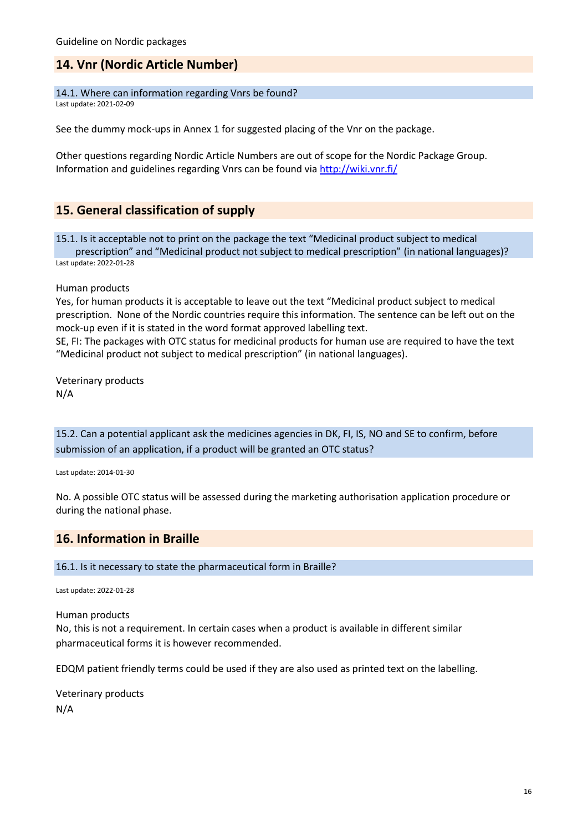# **14. Vnr (Nordic Article Number)**

14.1. Where can information regarding Vnrs be found?

Last update: 2021-02-09

See the dummy mock-ups in Annex 1 for suggested placing of the Vnr on the package.

Other questions regarding Nordic Article Numbers are out of scope for the Nordic Package Group. Information and guidelines regarding Vnrs can be found via<http://wiki.vnr.fi/>

# **15. General classification of supply**

15.1. Is it acceptable not to print on the package the text "Medicinal product subject to medical prescription" and "Medicinal product not subject to medical prescription" (in national languages)? Last update: 2022-01-28

Human products

Yes, for human products it is acceptable to leave out the text "Medicinal product subject to medical prescription. None of the Nordic countries require this information. The sentence can be left out on the mock-up even if it is stated in the word format approved labelling text.

SE, FI: The packages with OTC status for medicinal products for human use are required to have the text "Medicinal product not subject to medical prescription" (in national languages).

Veterinary products N/A

15.2. Can a potential applicant ask the medicines agencies in DK, FI, IS, NO and SE to confirm, before submission of an application, if a product will be granted an OTC status?

Last update: 2014-01-30

No. A possible OTC status will be assessed during the marketing authorisation application procedure or during the national phase.

## **16. Information in Braille**

16.1. Is it necessary to state the pharmaceutical form in Braille?

Last update: 2022-01-28

Human products

No, this is not a requirement. In certain cases when a product is available in different similar pharmaceutical forms it is however recommended.

EDQM patient friendly terms could be used if they are also used as printed text on the labelling.

Veterinary products N/A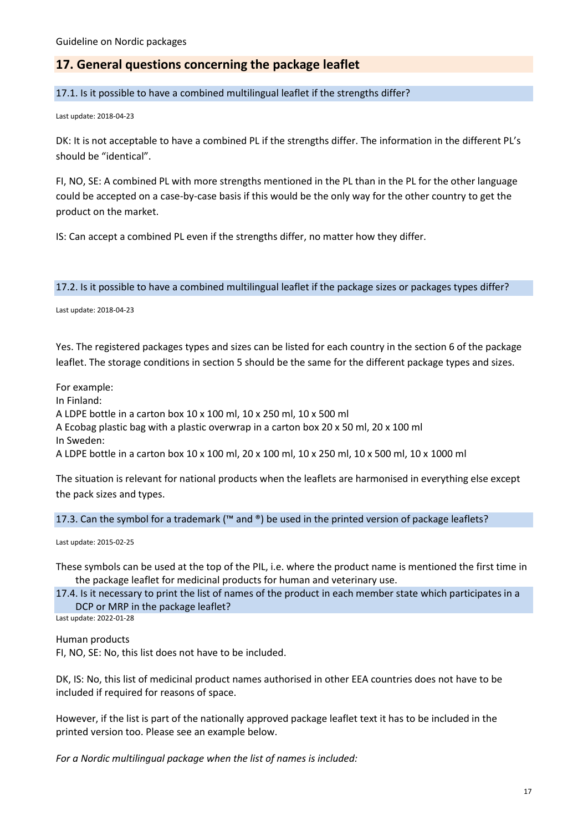# **17. General questions concerning the package leaflet**

17.1. Is it possible to have a combined multilingual leaflet if the strengths differ?

Last update: 2018-04-23

DK: It is not acceptable to have a combined PL if the strengths differ. The information in the different PL's should be "identical".

FI, NO, SE: A combined PL with more strengths mentioned in the PL than in the PL for the other language could be accepted on a case-by-case basis if this would be the only way for the other country to get the product on the market.

IS: Can accept a combined PL even if the strengths differ, no matter how they differ.

17.2. Is it possible to have a combined multilingual leaflet if the package sizes or packages types differ?

Last update: 2018-04-23

Yes. The registered packages types and sizes can be listed for each country in the section 6 of the package leaflet. The storage conditions in section 5 should be the same for the different package types and sizes.

For example:

In Finland:

A LDPE bottle in a carton box 10 x 100 ml, 10 x 250 ml, 10 x 500 ml

A Ecobag plastic bag with a plastic overwrap in a carton box 20 x 50 ml, 20 x 100 ml

In Sweden:

A LDPE bottle in a carton box 10 x 100 ml, 20 x 100 ml, 10 x 250 ml, 10 x 500 ml, 10 x 1000 ml

The situation is relevant for national products when the leaflets are harmonised in everything else except the pack sizes and types.

17.3. Can the symbol for a trademark (™ and ®) be used in the printed version of package leaflets?

Last update: 2015-02-25

These symbols can be used at the top of the PIL, i.e. where the product name is mentioned the first time in the package leaflet for medicinal products for human and veterinary use.

17.4. Is it necessary to print the list of names of the product in each member state which participates in a DCP or MRP in the package leaflet?

Last update: 2022-01-28

Human products

FI, NO, SE: No, this list does not have to be included.

DK, IS: No, this list of medicinal product names authorised in other EEA countries does not have to be included if required for reasons of space.

However, if the list is part of the nationally approved package leaflet text it has to be included in the printed version too. Please see an example below.

*For a Nordic multilingual package when the list of names is included:*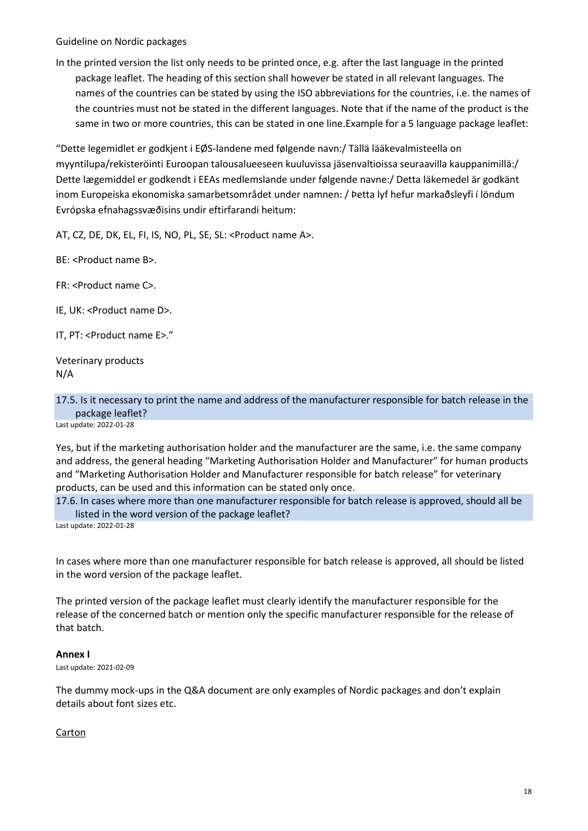In the printed version the list only needs to be printed once, e.g. after the last language in the printed package leaflet. The heading of this section shall however be stated in all relevant languages. The names of the countries can be stated by using the ISO abbreviations for the countries, i.e. the names of the countries must not be stated in the different languages. Note that if the name of the product is the same in two or more countries, this can be stated in one line.Example for a 5 language package leaflet:

**"**Dette legemidlet er godkjent i EØS-landene med følgende navn:/ Tällä lääkevalmisteella on myyntilupa/rekisteröinti Euroopan talousalueeseen kuuluvissa jäsenvaltioissa seuraavilla kauppanimillä:/ Dette lægemiddel er godkendt i EEAs medlemslande under følgende navne:/ Detta läkemedel är godkänt inom Europeiska ekonomiska samarbetsområdet under namnen: / Þetta lyf hefur markaðsleyfi í löndum Evrópska efnahagssvæðisins undir eftirfarandi heitum:

AT, CZ, DE, DK, EL, FI, IS, NO, PL, SE, SL: <Product name A>.

BE: <Product name B>.

FR: <Product name C>.

IE, UK: <Product name D>.

IT, PT: <Product name E>."

Veterinary products N/A

17.5. Is it necessary to print the name and address of the manufacturer responsible for batch release in the package leaflet?

Last update: 2022-01-28

Yes, but if the marketing authorisation holder and the manufacturer are the same, i.e. the same company and address, the general heading "Marketing Authorisation Holder and Manufacturer" for human products and "Marketing Authorisation Holder and Manufacturer responsible for batch release" for veterinary products, can be used and this information can be stated only once.

17.6. In cases where more than one manufacturer responsible for batch release is approved, should all be listed in the word version of the package leaflet?

Last update: 2022-01-28

In cases where more than one manufacturer responsible for batch release is approved, all should be listed in the word version of the package leaflet.

The printed version of the package leaflet must clearly identify the manufacturer responsible for the release of the concerned batch or mention only the specific manufacturer responsible for the release of that batch.

#### **Annex I**

Last update: 2021-02-09

The dummy mock-ups in the Q&A document are only examples of Nordic packages and don't explain details about font sizes etc.

### Carton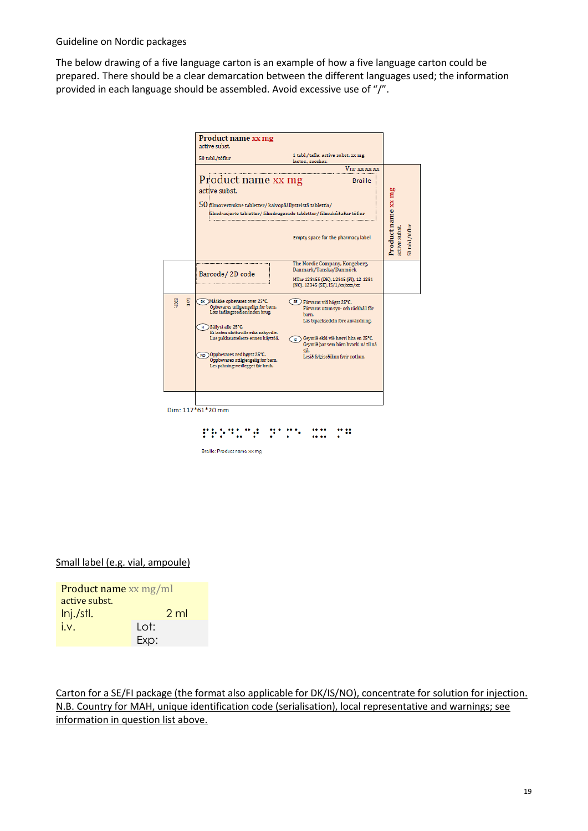The below drawing of a five language carton is an example of how a five language carton could be prepared. There should be a clear demarcation between the different languages used; the information provided in each language should be assembled. Avoid excessive use of "/".



Braille: Product name xx mg

Small label (e.g. vial, ampoule)

| <b>Product name xx mg/ml</b> |                |  |  |
|------------------------------|----------------|--|--|
| active subst.                |                |  |  |
| Inj./stl.                    | 2 <sub>m</sub> |  |  |
| i.v.                         | Lot:           |  |  |
|                              | Exp:           |  |  |

Carton for a SE/FI package (the format also applicable for DK/IS/NO), concentrate for solution for injection. N.B. Country for MAH, unique identification code (serialisation), local representative and warnings; see information in question list above.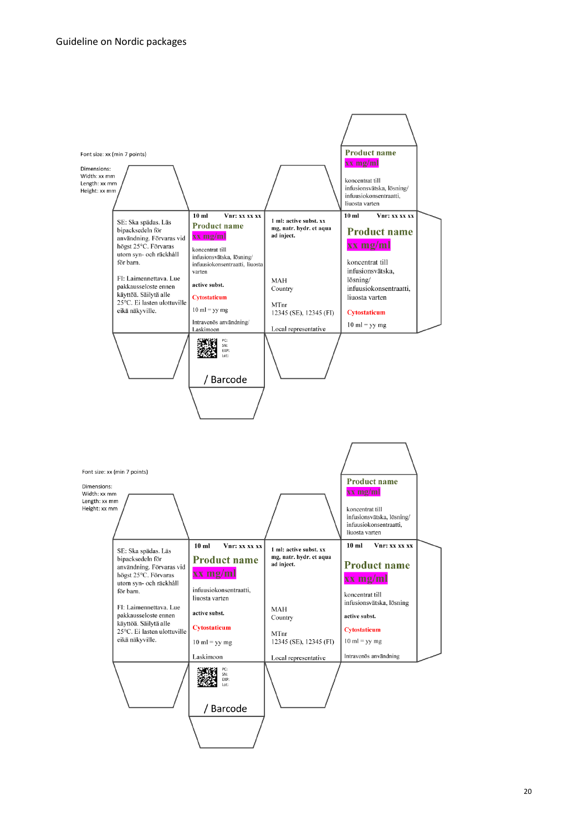